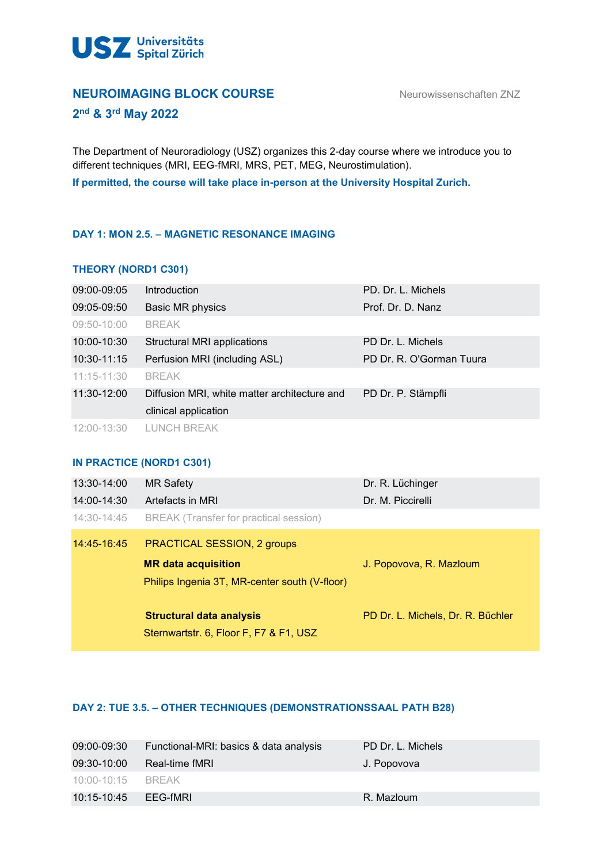

# **NEUROIMAGING BLOCK COURSE** Neurowissenschaften ZNZ

# **2nd & 3rd May 2022**

The Department of Neuroradiology (USZ) organizes this 2-day course where we introduce you to different techniques (MRI, EEG-fMRI, MRS, PET, MEG, Neurostimulation). **If permitted, the course will take place in-person at the University Hospital Zurich.**

# **DAY 1: MON 2.5. – MAGNETIC RESONANCE IMAGING**

# **THEORY (NORD1 C301)**

| 09:00-09:05     | <b>Introduction</b>                          | PD. Dr. L. Michels       |
|-----------------|----------------------------------------------|--------------------------|
| 09:05-09:50     | Basic MR physics                             | Prof. Dr. D. Nanz        |
| 09:50-10:00     | <b>BREAK</b>                                 |                          |
| 10:00-10:30     | Structural MRI applications                  | PD Dr. L. Michels        |
| 10:30-11:15     | Perfusion MRI (including ASL)                | PD Dr. R. O'Gorman Tuura |
| $11:15 - 11:30$ | <b>BREAK</b>                                 |                          |
| 11:30-12:00     | Diffusion MRI, white matter architecture and | PD Dr. P. Stämpfli       |
|                 | clinical application                         |                          |
| 12:00-13:30     | <b>LUNCH BREAK</b>                           |                          |

### **IN PRACTICE (NORD1 C301)**

| 13:30-14:00 | <b>MR Safety</b>                              | Dr. R. Lüchinger                  |
|-------------|-----------------------------------------------|-----------------------------------|
| 14:00-14:30 | <b>Artefacts in MRI</b>                       | Dr. M. Piccirelli                 |
| 14:30-14:45 | BREAK (Transfer for practical session)        |                                   |
| 14:45-16:45 | <b>PRACTICAL SESSION, 2 groups</b>            |                                   |
|             | <b>MR</b> data acquisition                    | J. Popovova, R. Mazloum           |
|             | Philips Ingenia 3T, MR-center south (V-floor) |                                   |
|             | Structural data analysis                      | PD Dr. L. Michels, Dr. R. Büchler |
|             | Sternwartstr. 6, Floor F, F7 & F1, USZ        |                                   |

# **DAY 2: TUE 3.5. – OTHER TECHNIQUES (DEMONSTRATIONSSAAL PATH B28)**

| 09:00-09:30       | Functional-MRI: basics & data analysis | PD Dr. L. Michels |
|-------------------|----------------------------------------|-------------------|
| 09:30-10:00       | Real-time fMRI                         | J. Popovova       |
| 10:00-10:15 BREAK |                                        |                   |
| 10:15-10:45       | EEG-fMRI                               | R. Mazloum        |